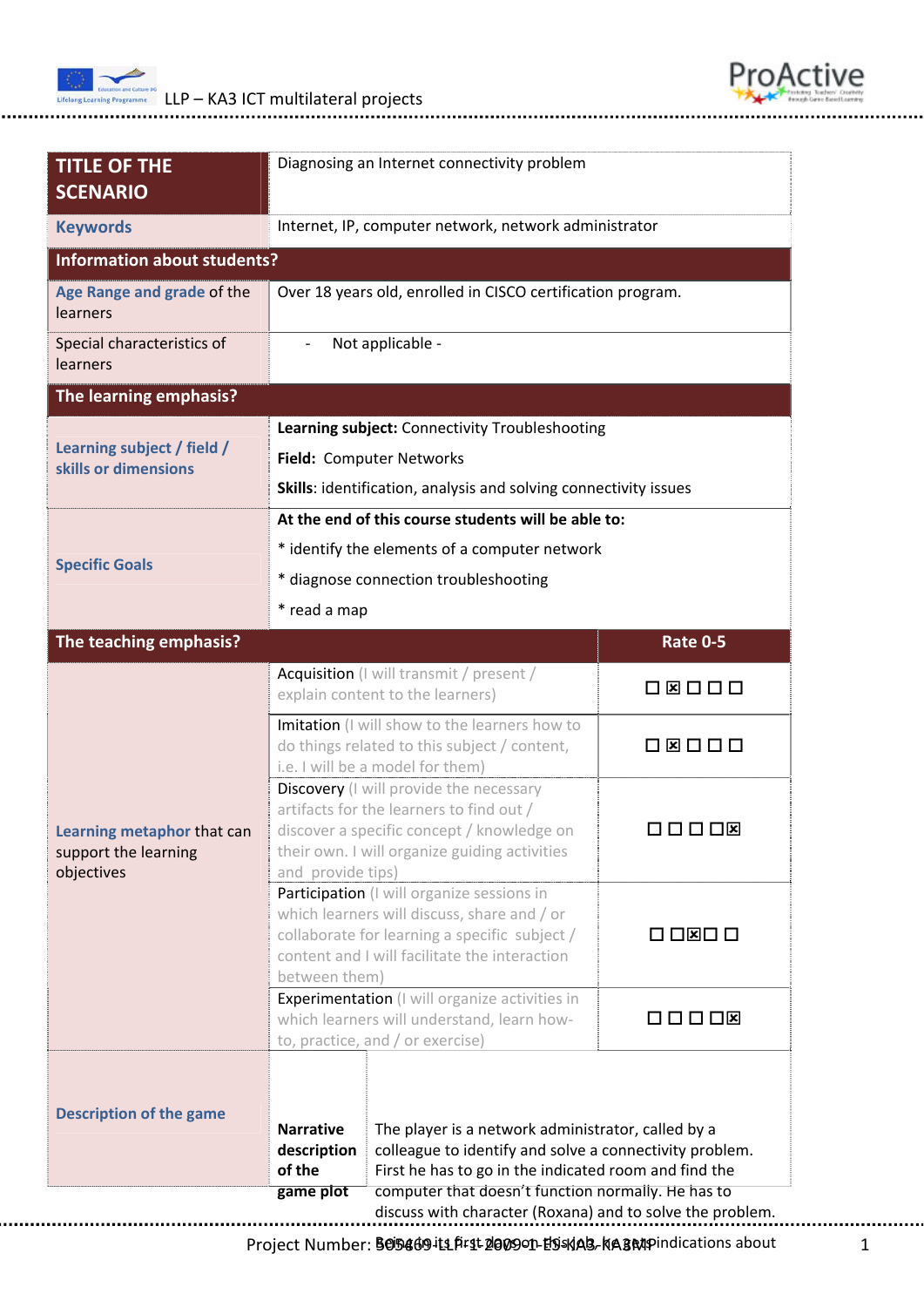



.................................

| $\overline{\phantom{a}}$<br>* read a map<br>Imitation (I will show to the learners how to<br>do things related to this subject / content,                                                                    | Internet, IP, computer network, network administrator<br>Over 18 years old, enrolled in CISCO certification program.<br>Not applicable -<br>Learning subject: Connectivity Troubleshooting<br>Field: Computer Networks<br>Skills: identification, analysis and solving connectivity issues<br>At the end of this course students will be able to:<br>* identify the elements of a computer network<br>* diagnose connection troubleshooting<br>Acquisition (I will transmit / present /<br>explain content to the learners) | <b>Rate 0-5</b><br>08000                              |
|--------------------------------------------------------------------------------------------------------------------------------------------------------------------------------------------------------------|-----------------------------------------------------------------------------------------------------------------------------------------------------------------------------------------------------------------------------------------------------------------------------------------------------------------------------------------------------------------------------------------------------------------------------------------------------------------------------------------------------------------------------|-------------------------------------------------------|
|                                                                                                                                                                                                              |                                                                                                                                                                                                                                                                                                                                                                                                                                                                                                                             |                                                       |
|                                                                                                                                                                                                              |                                                                                                                                                                                                                                                                                                                                                                                                                                                                                                                             |                                                       |
|                                                                                                                                                                                                              |                                                                                                                                                                                                                                                                                                                                                                                                                                                                                                                             |                                                       |
|                                                                                                                                                                                                              |                                                                                                                                                                                                                                                                                                                                                                                                                                                                                                                             |                                                       |
|                                                                                                                                                                                                              |                                                                                                                                                                                                                                                                                                                                                                                                                                                                                                                             |                                                       |
|                                                                                                                                                                                                              |                                                                                                                                                                                                                                                                                                                                                                                                                                                                                                                             |                                                       |
|                                                                                                                                                                                                              |                                                                                                                                                                                                                                                                                                                                                                                                                                                                                                                             |                                                       |
|                                                                                                                                                                                                              |                                                                                                                                                                                                                                                                                                                                                                                                                                                                                                                             |                                                       |
|                                                                                                                                                                                                              |                                                                                                                                                                                                                                                                                                                                                                                                                                                                                                                             |                                                       |
|                                                                                                                                                                                                              |                                                                                                                                                                                                                                                                                                                                                                                                                                                                                                                             |                                                       |
|                                                                                                                                                                                                              |                                                                                                                                                                                                                                                                                                                                                                                                                                                                                                                             |                                                       |
|                                                                                                                                                                                                              |                                                                                                                                                                                                                                                                                                                                                                                                                                                                                                                             |                                                       |
|                                                                                                                                                                                                              |                                                                                                                                                                                                                                                                                                                                                                                                                                                                                                                             |                                                       |
|                                                                                                                                                                                                              |                                                                                                                                                                                                                                                                                                                                                                                                                                                                                                                             |                                                       |
| i.e. I will be a model for them)                                                                                                                                                                             |                                                                                                                                                                                                                                                                                                                                                                                                                                                                                                                             |                                                       |
| Discovery (I will provide the necessary<br>artifacts for the learners to find out /<br>discover a specific concept / knowledge on<br>their own. I will organize guiding activities<br>and provide tips)      |                                                                                                                                                                                                                                                                                                                                                                                                                                                                                                                             | $\Box\ \Box\ \Box\ \Box\ \boxtimes$                   |
| Participation (I will organize sessions in<br>which learners will discuss, share and / or<br>collaborate for learning a specific subject /<br>content and I will facilitate the interaction<br>between them) |                                                                                                                                                                                                                                                                                                                                                                                                                                                                                                                             | $\square$ $\square$ $\square$ $\square$               |
| <b>Experimentation</b> (I will organize activities in<br>which learners will understand, learn how-<br>to, practice, and / or exercise)                                                                      |                                                                                                                                                                                                                                                                                                                                                                                                                                                                                                                             | $\Box$ $\Box$ $\Box$                                  |
| <b>Narrative</b><br>description<br>of the                                                                                                                                                                    | The player is a network administrator, called by a<br>colleague to identify and solve a connectivity problem.                                                                                                                                                                                                                                                                                                                                                                                                               |                                                       |
| game plot                                                                                                                                                                                                    |                                                                                                                                                                                                                                                                                                                                                                                                                                                                                                                             | First he has to go in the indicated room and find the |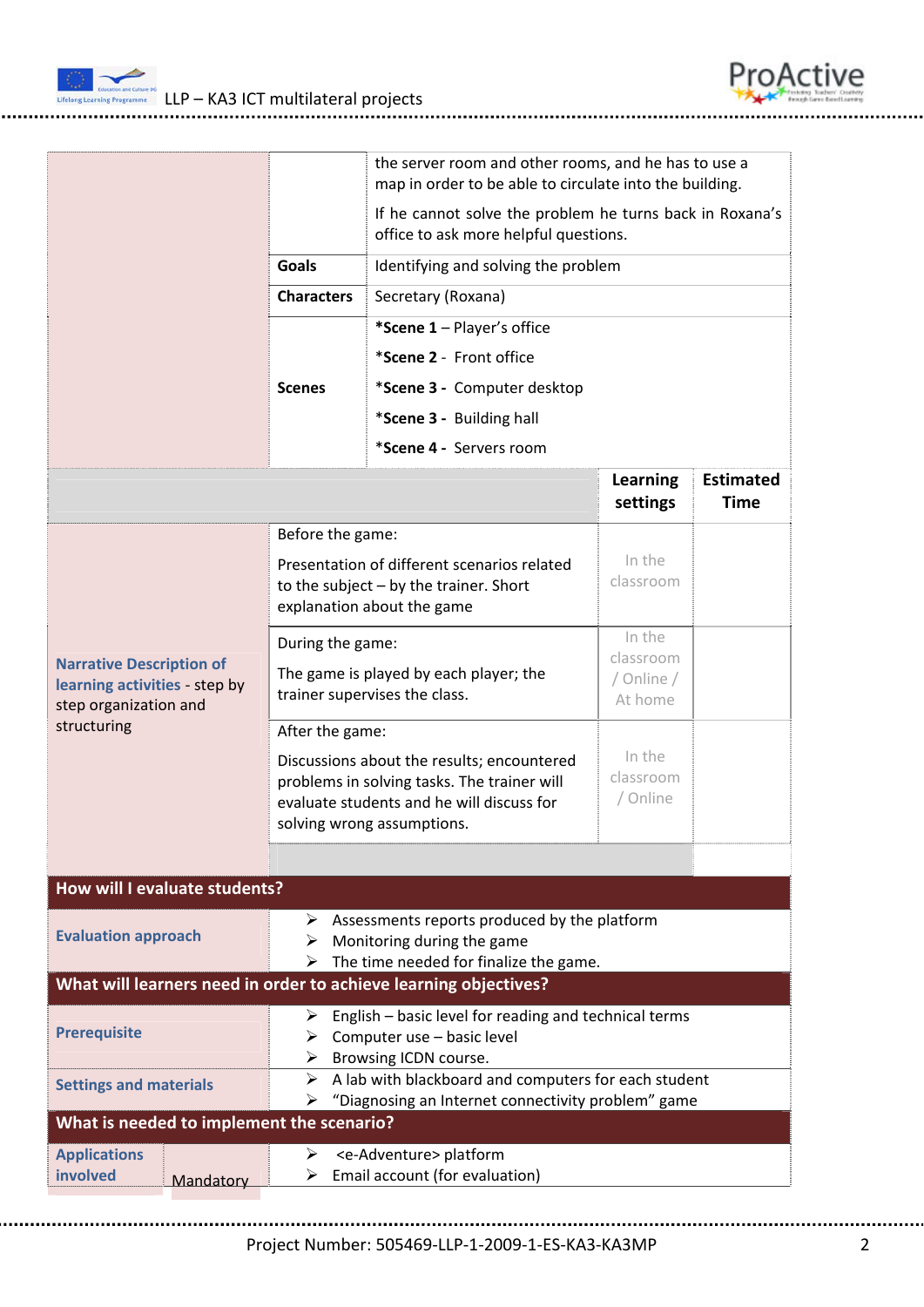



|                                                                                           | the server room and other rooms, and he has to use a<br>map in order to be able to circulate into the building.                                                                         |                                                                         |                                    |                          |  |  |  |
|-------------------------------------------------------------------------------------------|-----------------------------------------------------------------------------------------------------------------------------------------------------------------------------------------|-------------------------------------------------------------------------|------------------------------------|--------------------------|--|--|--|
|                                                                                           | If he cannot solve the problem he turns back in Roxana's<br>office to ask more helpful questions.                                                                                       |                                                                         |                                    |                          |  |  |  |
|                                                                                           | <b>Goals</b>                                                                                                                                                                            | Identifying and solving the problem                                     |                                    |                          |  |  |  |
|                                                                                           | <b>Characters</b>                                                                                                                                                                       | Secretary (Roxana)                                                      |                                    |                          |  |  |  |
|                                                                                           |                                                                                                                                                                                         | *Scene 1 - Player's office                                              |                                    |                          |  |  |  |
|                                                                                           |                                                                                                                                                                                         | *Scene 2 - Front office                                                 |                                    |                          |  |  |  |
|                                                                                           | <b>Scenes</b>                                                                                                                                                                           | *Scene 3 - Computer desktop                                             |                                    |                          |  |  |  |
|                                                                                           |                                                                                                                                                                                         | *Scene 3 - Building hall                                                |                                    |                          |  |  |  |
|                                                                                           |                                                                                                                                                                                         | *Scene 4 - Servers room                                                 |                                    |                          |  |  |  |
|                                                                                           |                                                                                                                                                                                         |                                                                         | <b>Learning</b><br>settings        | <b>Estimated</b><br>Time |  |  |  |
|                                                                                           | Before the game:                                                                                                                                                                        |                                                                         |                                    |                          |  |  |  |
|                                                                                           | Presentation of different scenarios related<br>to the subject $-$ by the trainer. Short<br>explanation about the game                                                                   |                                                                         | In the<br>classroom                |                          |  |  |  |
|                                                                                           | During the game:                                                                                                                                                                        |                                                                         | In the                             |                          |  |  |  |
| <b>Narrative Description of</b><br>learning activities - step by<br>step organization and | The game is played by each player; the<br>trainer supervises the class.                                                                                                                 |                                                                         | classroom<br>/ Online /<br>At home |                          |  |  |  |
| structuring                                                                               | After the game:<br>Discussions about the results; encountered<br>problems in solving tasks. The trainer will<br>evaluate students and he will discuss for<br>solving wrong assumptions. |                                                                         | In the<br>classroom<br>/ Online    |                          |  |  |  |
|                                                                                           |                                                                                                                                                                                         |                                                                         |                                    |                          |  |  |  |
| How will I evaluate students?                                                             |                                                                                                                                                                                         |                                                                         |                                    |                          |  |  |  |
| <b>Evaluation approach</b>                                                                | Assessments reports produced by the platform<br>➤<br>Monitoring during the game<br>➤<br>The time needed for finalize the game.<br>➤                                                     |                                                                         |                                    |                          |  |  |  |
| What will learners need in order to achieve learning objectives?                          |                                                                                                                                                                                         |                                                                         |                                    |                          |  |  |  |
| <b>Prerequisite</b>                                                                       | English - basic level for reading and technical terms<br>➤<br>Computer use - basic level<br>➤<br>Browsing ICDN course.<br>➤                                                             |                                                                         |                                    |                          |  |  |  |
| <b>Settings and materials</b>                                                             | A lab with blackboard and computers for each student<br>➤<br>"Diagnosing an Internet connectivity problem" game<br>➤                                                                    |                                                                         |                                    |                          |  |  |  |
| What is needed to implement the scenario?                                                 |                                                                                                                                                                                         |                                                                         |                                    |                          |  |  |  |
| <b>Applications</b><br>involved<br>Mandatory                                              | ➤                                                                                                                                                                                       | <e-adventure> platform<br/>Email account (for evaluation)</e-adventure> |                                    |                          |  |  |  |

Project Number: 505469‐LLP‐1‐2009‐1‐ES‐KA3‐KA3MP 2